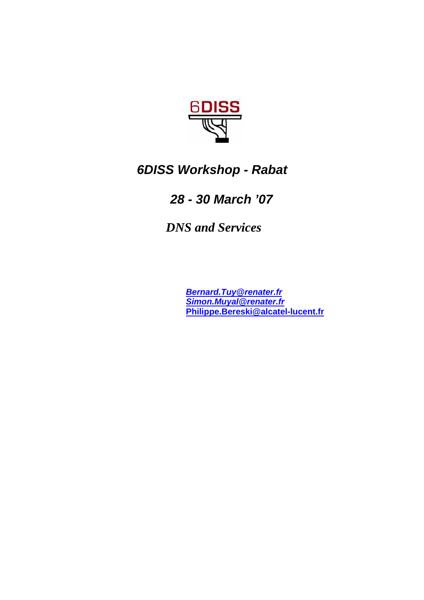

# *6DISS Workshop - Rabat*

### *28 - 30 March '07*

 *DNS and Services*

*Bernard.Tuy@renater.fr Simon.Muyal@renater.fr*  **Philippe.Bereski@alcatel-lucent.fr**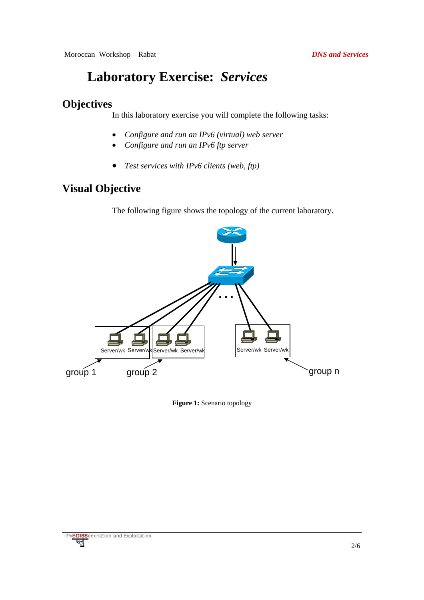## **Laboratory Exercise:** *Services*

#### **Objectives**

In this laboratory exercise you will complete the following tasks:

- *Configure and run an IPv6 (virtual) web server*
- *Configure and run an IPv6 ftp server*
- *Test services with IPv6 clients (web, ftp)*

### **Visual Objective**

The following figure shows the topology of the current laboratory.



**Figure 1:** Scenario topology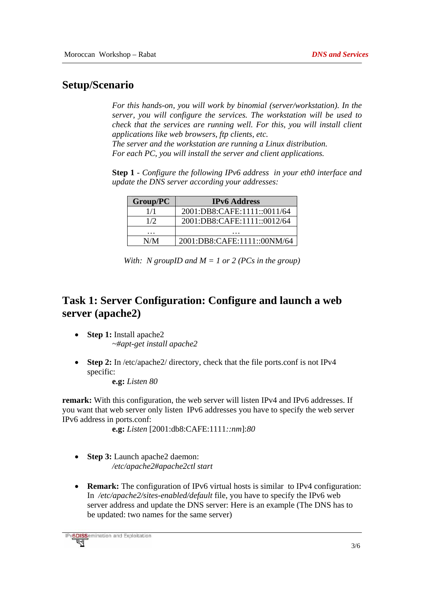#### **Setup/Scenario**

*For this hands-on, you will work by binomial (server/workstation). In the server, you will configure the services. The workstation will be used to check that the services are running well. For this, you will install client applications like web browsers, ftp clients, etc. The server and the workstation are running a Linux distribution. For each PC, you will install the server and client applications.* 

**Step 1** *- Configure the following IPv6 address in your eth0 interface and update the DNS server according your addresses:* 

| Group/PC | <b>IPv6</b> Address         |  |  |  |  |
|----------|-----------------------------|--|--|--|--|
| 1/1      | 2001:DB8:CAFE:1111::0011/64 |  |  |  |  |
| 1/2      | 2001:DB8:CAFE:1111::0012/64 |  |  |  |  |
| .        | .                           |  |  |  |  |
| N/M      | 2001:DB8:CAFE:1111::00NM/64 |  |  |  |  |

| With: N groupID and $M = 1$ or 2 (PCs in the group) |  |
|-----------------------------------------------------|--|
|-----------------------------------------------------|--|

#### **Task 1: Server Configuration: Configure and launch a web server (apache2)**

- **Step 1:** Install apache2 *~#apt-get install apache2*
- **Step 2:** In /etc/apache2/ directory, check that the file ports.conf is not IPv4 specific:

**e.g:** *Listen 80* 

**remark:** With this configuration, the web server will listen IPv4 and IPv6 addresses. If you want that web server only listen IPv6 addresses you have to specify the web server IPv6 address in ports.conf:

```
 e.g: Listen [2001:db8:CAFE:1111::nm]:80
```
- **Step 3:** Launch apache2 daemon: */etc/apache2#apache2ctl start*
- **Remark:** The configuration of IPv6 virtual hosts is similar to IPv4 configuration: In */etc/apache2/sites-enabled/default* file, you have to specify the IPv6 web server address and update the DNS server: Here is an example (The DNS has to be updated: two names for the same server)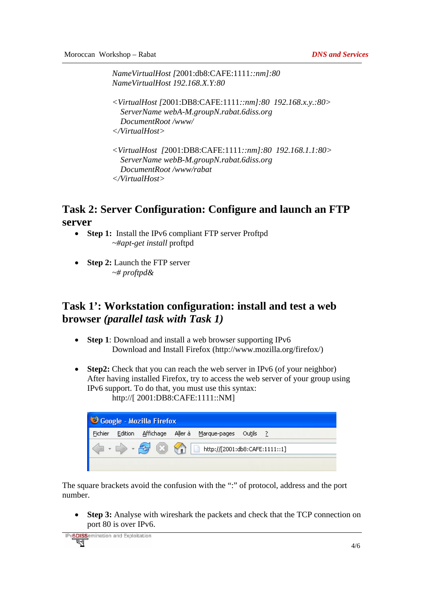*NameVirtualHost [*2001:db8:CAFE:1111*::nm]:80 NameVirtualHost 192.168.X.Y:80* 

```
<VirtualHost [2001:DB8:CAFE:1111::nm]:80 192.168.x.y.:80> 
   ServerName webA-M.groupN.rabat.6diss.org 
   DocumentRoot /www/ 
</VirtualHost>
```

```
<VirtualHost [2001:DB8:CAFE:1111::nm]:80 192.168.1.1:80> 
   ServerName webB-M.groupN.rabat.6diss.org
   DocumentRoot /www/rabat 
</VirtualHost>
```
#### **Task 2: Server Configuration: Configure and launch an FTP server**

- **Step 1:** Install the IPv6 compliant FTP server Proftpd *~#apt-get install* proftpd
- **Step 2:** Launch the FTP server *~# proftpd&*

#### **Task 1': Workstation configuration: install and test a web browser** *(parallel task with Task 1)*

- **Step 1**: Download and install a web browser supporting IPv6 Download and Install Firefox (http://www.mozilla.org/firefox/)
- **Step2:** Check that you can reach the web server in IPv6 (of your neighbor) After having installed Firefox, try to access the web server of your group using IPv6 support. To do that, you must use this syntax: http://[ 2001:DB8:CAFE:1111::NM]

| Coogle - Mozilla Firefox                            |         |  |  |                                       |  |  |
|-----------------------------------------------------|---------|--|--|---------------------------------------|--|--|
| Fichier                                             | Edition |  |  | Affichage Aller à Marque-pages Outils |  |  |
| <b>EXICE 1111:11</b> http://[2001:db8:CAFE:1111::1] |         |  |  |                                       |  |  |
|                                                     |         |  |  |                                       |  |  |

The square brackets avoid the confusion with the ":" of protocol, address and the port number.

• **Step 3:** Analyse with wireshark the packets and check that the TCP connection on port 80 is over IPv6.

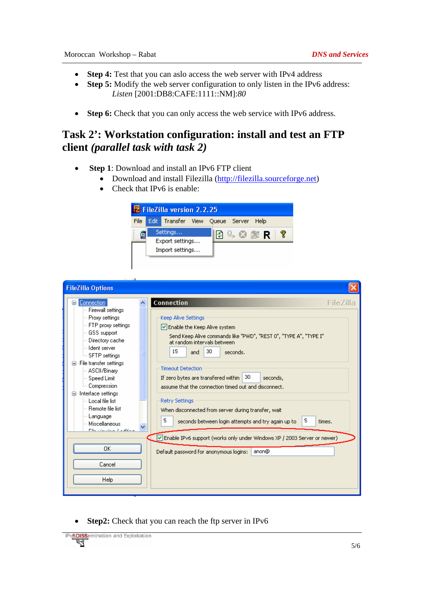- **Step 4:** Test that you can aslo access the web server with IPv4 address
- **Step 5:** Modify the web server configuration to only listen in the IPv6 address: *Listen* [2001:DB8:CAFE:1111::NM]:*80*
- **Step 6:** Check that you can only access the web service with IPv6 address.

#### **Task 2': Workstation configuration: install and test an FTP client** *(parallel task with task 2)*

- **Step 1**: Download and install an IPv6 FTP client
	- Download and install Filezilla (http://filezilla.sourceforge.net)
	- Check that IPv6 is enable:



| <b>FileZilla Options</b>   |                                                                          |
|----------------------------|--------------------------------------------------------------------------|
| <b>Connection</b>          | Connection                                                               |
| Ξ۰                         | FileZilla                                                                |
| Firewall settings          | Keep Alive Settings                                                      |
| Proxy settings             | $\triangleright$ Enable the Keep Alive system                            |
| FTP proxy settings         | Send Keep Alive commands like "PWD", "REST 0", "TYPE A", "TYPE I"        |
| GSS support                | at random intervals between.                                             |
| Directory cache            | 15                                                                       |
| ⊟ Ident server             | 30                                                                       |
| ≔ SFTP settings            | and                                                                      |
| File transfer settings     | seconds.                                                                 |
| -- ASCII/Binary            | <b>Timeout Detection</b>                                                 |
| Speed Limit                | 30                                                                       |
| Compression                | If zero bytes are transfered within                                      |
| Interface settings         | seconds,                                                                 |
| ⊟∙                         | assume that the connection timed out and disconnect.                     |
| └─ Local file list         | <b>Retry Settings</b>                                                    |
| Remote file list           | When disconnected from server during transfer, wait                      |
| Language                   | 5                                                                        |
| Miscellaneous              | 5.                                                                       |
| $\checkmark$               | seconds between login attempts and try again up to                       |
| ma e destaca e o español e | times.                                                                   |
| 0K                         | Enable IPv6 support (works only under Windows XP / 2003 Server or newer) |
| Cancel                     | anon@                                                                    |
| Help                       | Default password for anonymous logins:                                   |

• **Step2:** Check that you can reach the ftp server in IPv6